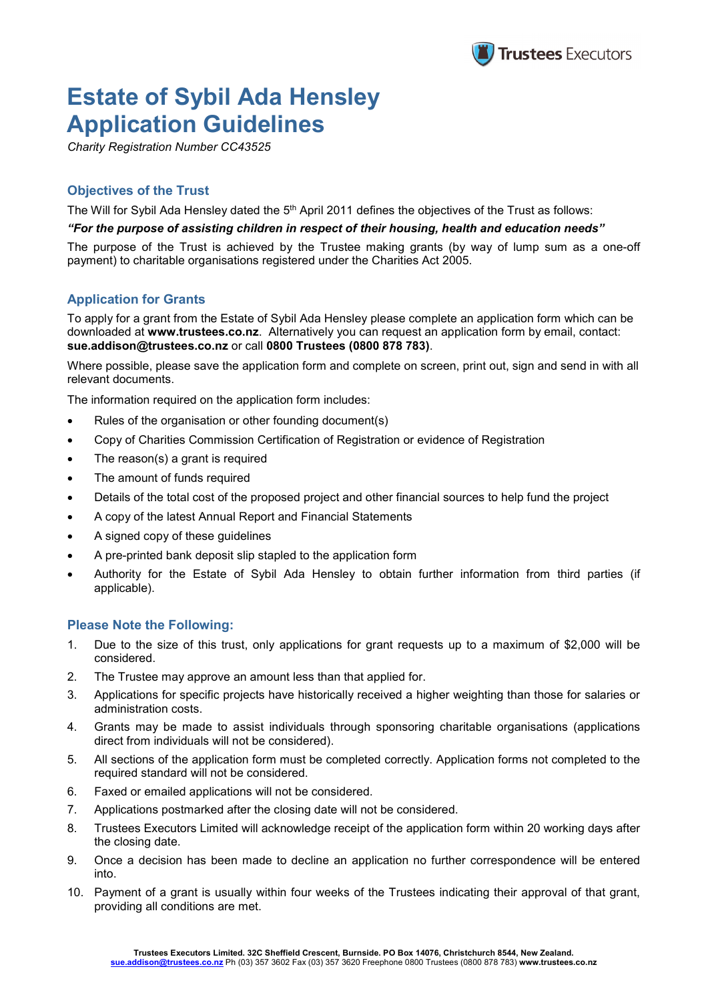

# **Estate of Sybil Ada Hensley Application Guidelines**

*Charity Registration Number CC43525*

# **Objectives of the Trust**

The Will for Sybil Ada Hensley dated the 5<sup>th</sup> April 2011 defines the objectives of the Trust as follows:

#### *"For the purpose of assisting children in respect of their housing, health and education needs"*

The purpose of the Trust is achieved by the Trustee making grants (by way of lump sum as a one-off payment) to charitable organisations registered under the Charities Act 2005.

## **Application for Grants**

To apply for a grant from the Estate of Sybil Ada Hensley please complete an application form which can be downloaded at **[www.trustees.co.nz](http://www.trustees.co.nz/)**. Alternatively you can request an application form by email, contact: **sue.addison@trustees.co.nz** or call **0800 Trustees (0800 878 783)**.

Where possible, please save the application form and complete on screen, print out, sign and send in with all relevant documents.

The information required on the application form includes:

- Rules of the organisation or other founding document(s)
- Copy of Charities Commission Certification of Registration or evidence of Registration
- The reason(s) a grant is required
- The amount of funds required
- Details of the total cost of the proposed project and other financial sources to help fund the project
- A copy of the latest Annual Report and Financial Statements
- A signed copy of these guidelines
- A pre-printed bank deposit slip stapled to the application form
- Authority for the Estate of Sybil Ada Hensley to obtain further information from third parties (if applicable).

### **Please Note the Following:**

- 1. Due to the size of this trust, only applications for grant requests up to a maximum of \$2,000 will be considered.
- 2. The Trustee may approve an amount less than that applied for.
- 3. Applications for specific projects have historically received a higher weighting than those for salaries or administration costs.
- 4. Grants may be made to assist individuals through sponsoring charitable organisations (applications direct from individuals will not be considered).
- 5. All sections of the application form must be completed correctly. Application forms not completed to the required standard will not be considered.
- 6. Faxed or emailed applications will not be considered.
- 7. Applications postmarked after the closing date will not be considered.
- 8. Trustees Executors Limited will acknowledge receipt of the application form within 20 working days after the closing date.
- 9. Once a decision has been made to decline an application no further correspondence will be entered into.
- 10. Payment of a grant is usually within four weeks of the Trustees indicating their approval of that grant, providing all conditions are met.